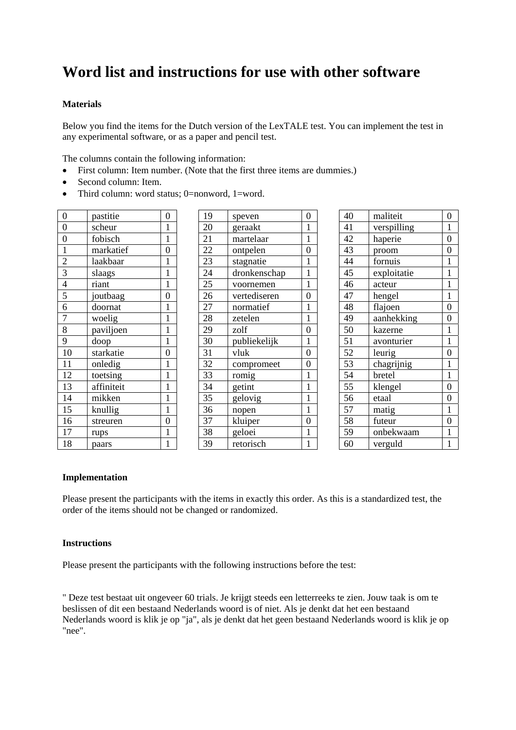# **Word list and instructions for use with other software**

## **Materials**

Below you find the items for the Dutch version of the LexTALE test. You can implement the test in any experimental software, or as a paper and pencil test.

The columns contain the following information:

- First column: Item number. (Note that the first three items are dummies.)
- Second column: Item.
- Third column: word status; 0=nonword, 1=word.

| 0                           | pastitie   | 0              |
|-----------------------------|------------|----------------|
| $\overline{0}$              | scheur     | 1              |
| $\overline{0}$              | fobisch    | $\mathbf 1$    |
|                             | markatief  | $\overline{0}$ |
| $\frac{1}{2}$ $\frac{3}{4}$ | laakbaar   | $\mathbf{1}$   |
|                             | slaags     | $\mathbf{1}$   |
|                             | riant      | $\mathbf{1}$   |
| $\frac{5}{6}$               | joutbaag   | $\overline{0}$ |
|                             | doornat    | $\mathbf{1}$   |
| 7                           | woelig     | $\mathbf{1}$   |
| $\overline{8}$              | paviljoen  | $\mathbf 1$    |
| 9                           | doop       | $\mathbf{1}$   |
| 10                          | starkatie  | $\overline{0}$ |
| 11                          | onledig    | $\mathbf{1}$   |
| 12                          | toetsing   | $\mathbf{1}$   |
| 13                          | affiniteit | $\mathbf{1}$   |
| 14                          | mikken     | 1              |
| 15                          | knullig    | $\mathbf{1}$   |
| 16                          | streuren   | $\overline{0}$ |
| 17                          | rups       | 1              |
| 18                          | paars      | 1              |

| 19              | speven       | $\overline{0}$ |
|-----------------|--------------|----------------|
| 20              | geraakt      | 1              |
| 21              | martelaar    | $\mathbf{1}$   |
| 22              | ontpelen     | $\overline{0}$ |
| 23              | stagnatie    | $\mathbf{1}$   |
| $\overline{24}$ | dronkenschap | $\mathbf{1}$   |
| 25              | voornemen    | $\mathbf{1}$   |
| 26              | vertediseren | $\overline{0}$ |
| 27              | normatief    | $\mathbf{1}$   |
| 28              | zetelen      | $\mathbf{1}$   |
| 29              | zolf         | $\overline{0}$ |
| 30              | publiekelijk | $\mathbf 1$    |
| 31              | vluk         | $\overline{0}$ |
| 32              | compromeet   | $\overline{0}$ |
| 33              | romig        | $\mathbf{1}$   |
| 34              | getint       | $\mathbf 1$    |
| 35              | gelovig      | 1              |
| 36              | nopen        | $\mathbf{1}$   |
| 37              | kluiper      | $\overline{0}$ |
| 38              | geloei       | $\mathbf{1}$   |
| 39              | retorisch    | $\mathbf{1}$   |
|                 |              |                |

| 40 | maliteit    | $\overline{0}$ |
|----|-------------|----------------|
| 41 | verspilling | $\mathbf{1}$   |
| 42 | haperie     | $\overline{0}$ |
| 43 | proom       | $\overline{0}$ |
| 44 | fornuis     | 1              |
| 45 | exploitatie | $\mathbf{1}$   |
| 46 | acteur      | 1              |
| 47 | hengel      | $\mathbf{1}$   |
| 48 | flajoen     | $\overline{0}$ |
| 49 | aanhekking  | $\overline{0}$ |
| 50 | kazerne     | $\mathbf{1}$   |
| 51 | avonturier  | $\mathbf{1}$   |
| 52 | leurig      | $\overline{0}$ |
| 53 | chagrijnig  | $\mathbf 1$    |
| 54 | bretel      | $\mathbf{1}$   |
| 55 | klengel     | $\overline{0}$ |
| 56 | etaal       | $\overline{0}$ |
| 57 | matig       | 1              |
| 58 | futeur      | $\overline{0}$ |
| 59 | onbekwaam   | 1              |
| 60 | verguld     | $\mathbf{1}$   |

#### **Implementation**

Please present the participants with the items in exactly this order. As this is a standardized test, the order of the items should not be changed or randomized.

#### **Instructions**

Please present the participants with the following instructions before the test:

" Deze test bestaat uit ongeveer 60 trials. Je krijgt steeds een letterreeks te zien. Jouw taak is om te beslissen of dit een bestaand Nederlands woord is of niet. Als je denkt dat het een bestaand Nederlands woord is klik je op "ja", als je denkt dat het geen bestaand Nederlands woord is klik je op "nee".